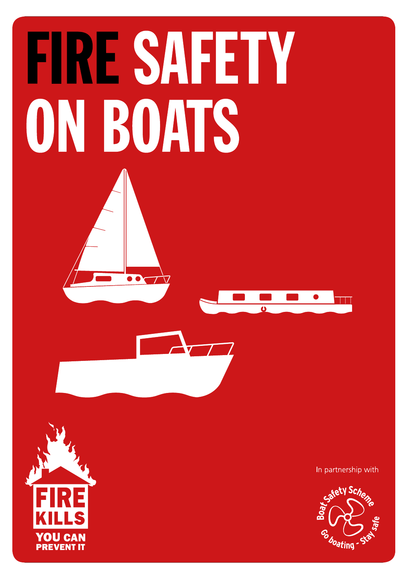# **FIRE SAFETY** ON BOATS

**OO** 



In partnership with

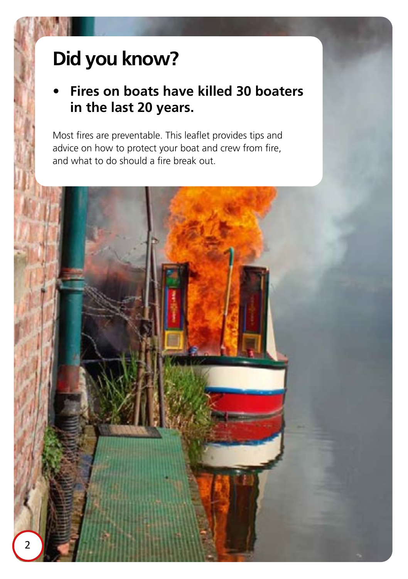# **Did you know?**

## **• Fires on boats have killed 30 boaters in the last 20 years.**

Most fires are preventable. This leaflet provides tips and advice on how to protect your boat and crew from fire, and what to do should a fire break out.

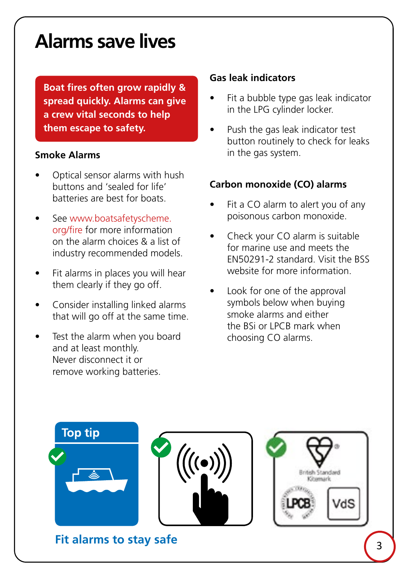## **Alarms save lives**

**Boat fires often grow rapidly & spread quickly. Alarms can give a crew vital seconds to help them escape to safety.**

#### **Smoke Alarms**

- Optical sensor alarms with hush buttons and 'sealed for life' batteries are best for boats.
- See [www.boatsafetyscheme.](http://www.boatsafetyscheme.org/fire) [org/fire](http://www.boatsafetyscheme.org/fire) for more information on the alarm choices & a list of industry recommended models.
- Fit alarms in places you will hear them clearly if they go off.
- Consider installing linked alarms that will go off at the same time.
- Test the alarm when you board and at least monthly. Never disconnect it or remove working batteries.

#### **Gas leak indicators**

- Fit a bubble type gas leak indicator in the LPG cylinder locker.
- Push the gas leak indicator test button routinely to check for leaks in the gas system.

#### **Carbon monoxide (CO) alarms**

- Fit a CO alarm to alert you of any poisonous carbon monoxide.
- Check your CO alarm is suitable for marine use and meets the EN50291-2 standard. Visit the BSS website for more information.
- Look for one of the approval symbols below when buying smoke alarms and either the BSi or LPCB mark when choosing CO alarms.

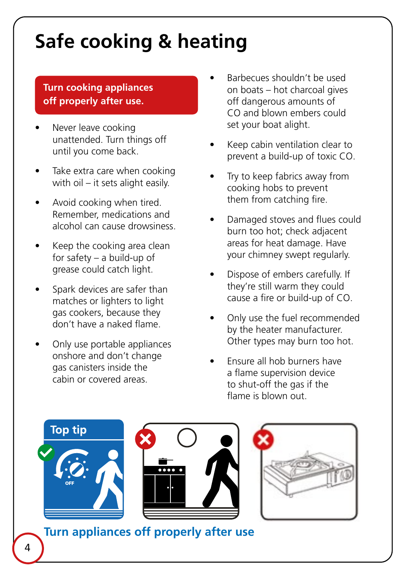## **Safe cooking & heating**

#### **Turn cooking appliances off properly after use.**

- Never leave cooking unattended. Turn things off until you come back.
- Take extra care when cooking with oil – it sets alight easily.
- Avoid cooking when tired. Remember, medications and alcohol can cause drowsiness.
- Keep the cooking area clean for safety – a build-up of grease could catch light.
- Spark devices are safer than matches or lighters to light gas cookers, because they don't have a naked flame.
- Only use portable appliances onshore and don't change gas canisters inside the cabin or covered areas.
- Barbecues shouldn't be used on boats – hot charcoal gives off dangerous amounts of CO and blown embers could set your boat alight.
- Keep cabin ventilation clear to prevent a build-up of toxic CO.
- Try to keep fabrics away from cooking hobs to prevent them from catching fire.
- Damaged stoves and flues could burn too hot; check adjacent areas for heat damage. Have your chimney swept regularly.
- Dispose of embers carefully. If they're still warm they could cause a fire or build-up of CO.
- Only use the fuel recommended by the heater manufacturer. Other types may burn too hot.
- Ensure all hob burners have a flame supervision device to shut-off the gas if the flame is blown out.



**Turn appliances off properly after use**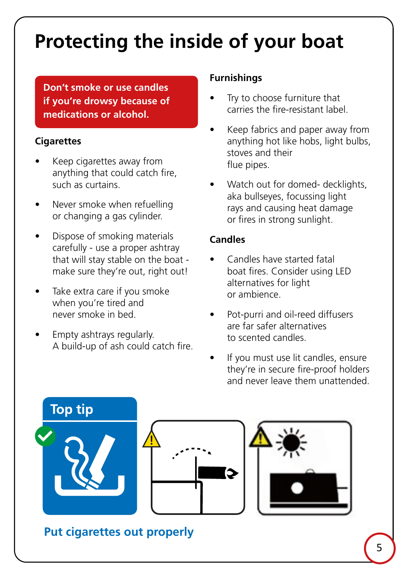# **Protecting the inside of your boat**

**Don't smoke or use candles if you're drowsy because of medications or alcohol.**

#### **Cigarettes**

- Keep cigarettes away from anything that could catch fire, such as curtains.
- Never smoke when refuelling or changing a gas cylinder.
- Dispose of smoking materials carefully - use a proper ashtray that will stay stable on the boat make sure they're out, right out!
- Take extra care if you smoke when you're tired and never smoke in bed.
- Empty ashtrays regularly. A build-up of ash could catch fire.

#### **Furnishings**

- Try to choose furniture that carries the fire-resistant label.
- Keep fabrics and paper away from anything hot like hobs, light bulbs, stoves and their flue pipes.
- Watch out for domed- decklights, aka bullseyes, focussing light rays and causing heat damage or fires in strong sunlight.

#### **Candles**

- Candles have started fatal boat fires. Consider using LED alternatives for light or ambience.
- Pot-purri and oil-reed diffusers are far safer alternatives to scented candles.
- If you must use lit candles, ensure they're in secure fire-proof holders and never leave them unattended.



### **Put cigarettes out properly**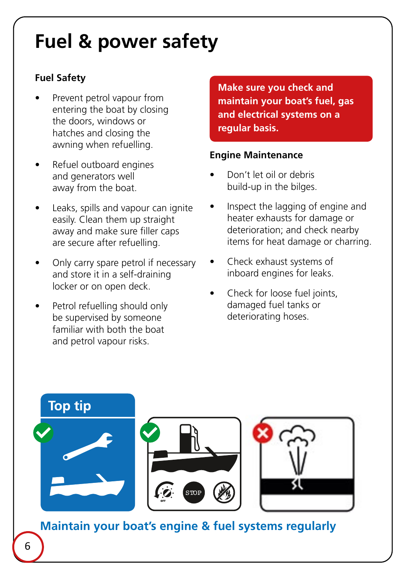## **Fuel & power safety**

#### **Fuel Safety**

- Prevent petrol vapour from entering the boat by closing the doors, windows or hatches and closing the awning when refuelling.
- Refuel outboard engines and generators well away from the boat.
- Leaks, spills and vapour can ignite easily. Clean them up straight away and make sure filler caps are secure after refuelling.
- Only carry spare petrol if necessary and store it in a self-draining locker or on open deck.
- Petrol refuelling should only be supervised by someone familiar with both the boat and petrol vapour risks.

**Make sure you check and maintain your boat's fuel, gas and electrical systems on a regular basis.**

#### **Engine Maintenance**

- Don't let oil or debris build-up in the bilges.
- Inspect the lagging of engine and heater exhausts for damage or deterioration; and check nearby items for heat damage or charring.
- Check exhaust systems of inboard engines for leaks.
- Check for loose fuel joints, damaged fuel tanks or deteriorating hoses.



6

**Maintain your boat's engine & fuel systems regularly**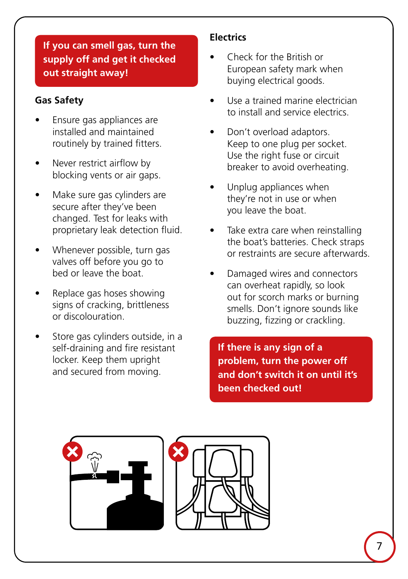#### **If you can smell gas, turn the supply off and get it checked out straight away!**

#### **Gas Safety**

- Ensure gas appliances are installed and maintained routinely by trained fitters.
- Never restrict airflow by blocking vents or air gaps.
- Make sure gas cylinders are secure after they've been changed. Test for leaks with proprietary leak detection fluid.
- Whenever possible, turn gas valves off before you go to bed or leave the boat.
- Replace gas hoses showing signs of cracking, brittleness or discolouration.
- Store gas cylinders outside, in a self-draining and fire resistant locker. Keep them upright and secured from moving.

#### **Electrics**

- Check for the British or European safety mark when buying electrical goods.
- Use a trained marine electrician to install and service electrics.
- Don't overload adaptors. Keep to one plug per socket. Use the right fuse or circuit breaker to avoid overheating.
- Unplug appliances when they're not in use or when you leave the boat.
- Take extra care when reinstalling the boat's batteries. Check straps or restraints are secure afterwards.
- Damaged wires and connectors can overheat rapidly, so look out for scorch marks or burning smells. Don't ignore sounds like buzzing, fizzing or crackling.

**If there is any sign of a problem, turn the power off and don't switch it on until it's been checked out!**



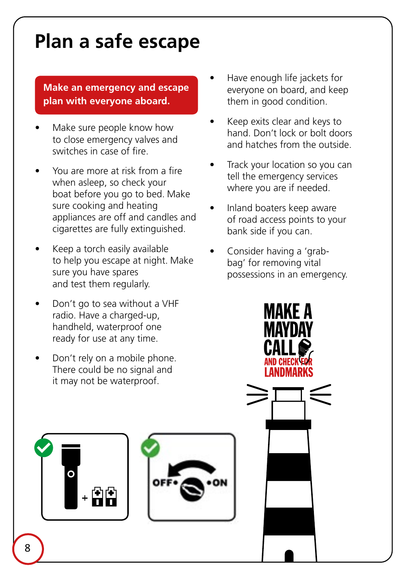## **Plan a safe escape**

#### **Make an emergency and escape plan with everyone aboard.**

- Make sure people know how to close emergency valves and switches in case of fire.
- You are more at risk from a fire when asleep, so check your boat before you go to bed. Make sure cooking and heating appliances are off and candles and cigarettes are fully extinguished.
- Keep a torch easily available to help you escape at night. Make sure you have spares and test them regularly.
- Don't go to sea without a VHF radio. Have a charged-up, handheld, waterproof one ready for use at any time.
- Don't rely on a mobile phone. There could be no signal and it may not be waterproof.
- Have enough life jackets for everyone on board, and keep them in good condition.
- Keep exits clear and keys to hand. Don't lock or bolt doors and hatches from the outside.
- Track your location so you can tell the emergency services where you are if needed.
- Inland boaters keep aware of road access points to your bank side if you can.
- Consider having a 'grabbag' for removing vital possessions in an emergency.

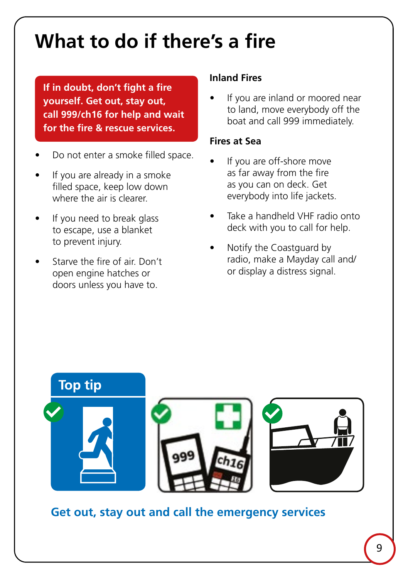## **What to do if there's a fire**

**If in doubt, don't fight a fire yourself. Get out, stay out, call 999/ch16 for help and wait for the fire & rescue services.**

- Do not enter a smoke filled space.
- If you are already in a smoke filled space, keep low down where the air is clearer.
- If you need to break glass to escape, use a blanket to prevent injury.
- Starve the fire of air. Don't open engine hatches or doors unless you have to.

#### **Inland Fires**

If you are inland or moored near to land, move everybody off the boat and call 999 immediately.

#### **Fires at Sea**

- If you are off-shore move as far away from the fire as you can on deck. Get everybody into life jackets.
- Take a handheld VHF radio onto deck with you to call for help.
- Notify the Coastguard by radio, make a Mayday call and/ or display a distress signal.



**Get out, stay out and call the emergency services**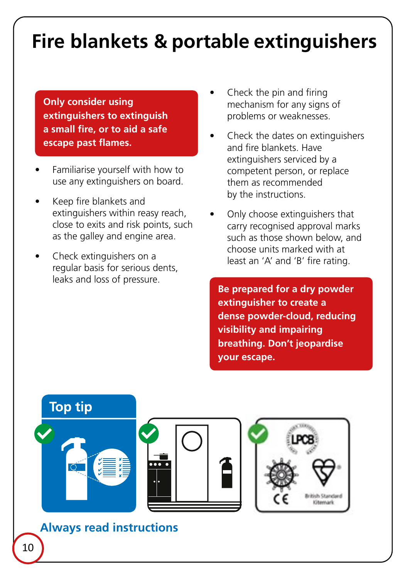## **Fire blankets & portable extinguishers**

**Only consider using extinguishers to extinguish a small fire, or to aid a safe escape past flames.**

- Familiarise yourself with how to use any extinguishers on board.
- Keep fire blankets and extinguishers within reasy reach, close to exits and risk points, such as the galley and engine area.
- Check extinguishers on a regular basis for serious dents, leaks and loss of pressure.
- Check the pin and firing mechanism for any signs of problems or weaknesses.
- Check the dates on extinguishers and fire blankets. Have extinguishers serviced by a competent person, or replace them as recommended by the instructions.
- Only choose extinguishers that carry recognised approval marks such as those shown below, and choose units marked with at least an 'A' and 'B' fire rating.

**Be prepared for a dry powder extinguisher to create a dense powder-cloud, reducing visibility and impairing breathing. Don't jeopardise your escape.**

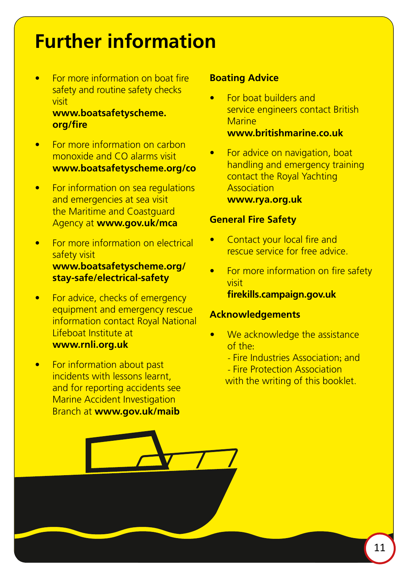## **Further information**

• For more information on boat fire safety and routine safety checks visit

#### **[www.boatsafetyscheme.](http://www.boatsafetyscheme.org/fire) [org/fire](http://www.boatsafetyscheme.org/fire)**

- For more information on carbon monoxide and CO alarms visit **[www.boatsafetyscheme.org/co](https://www.boatsafetyscheme.org/stay-safe/carbon-monoxide-(co)/)**
- For information on sea regulations and emergencies at sea visit the Maritime and Coastguard Agency at **[www.gov.uk/mca](https://www.gov.uk/government/organisations/maritime-and-coastguard-agency)**
- For more information on electrical safety visit **[www.boatsafetyscheme.org/](https://www.boatsafetyscheme.org/stay-safe/electrical-safety) [stay-safe/electrical-safety](https://www.boatsafetyscheme.org/stay-safe/electrical-safety)**
- For advice, checks of emergency equipment and emergency rescue information contact Royal National Lifeboat Institute at **[www.rnli.org.uk](https://rnli.org/)**
- For information about past incidents with lessons learnt, and for reporting accidents see Marine Accident Investigation Branch at **[www.gov.uk/maib](https://www.gov.uk/government/organisations/marine-accident-investigation-branch)**

#### **Boating Advice**

- For boat builders and service engineers contact British **Marine [www.britishmarine.co.uk](https://www.britishmarine.co.uk/)**
- For advice on navigation, boat handling and emergency training contact the Royal Yachting Association **[www.rya.org.uk](https://www.rya.org.uk/Pages/Home.aspx)**

#### **General Fire Safety**

- Contact your local fire and rescue service for free advice.
- For more information on fire safety visit **[firekills.campaign.gov.uk](https://firekills.campaign.gov.uk/)**

#### **Acknowledgements**

- We acknowledge the assistance of the:
	- Fire Industries Association; and
	- Fire Protection Association

with the writing of this booklet.